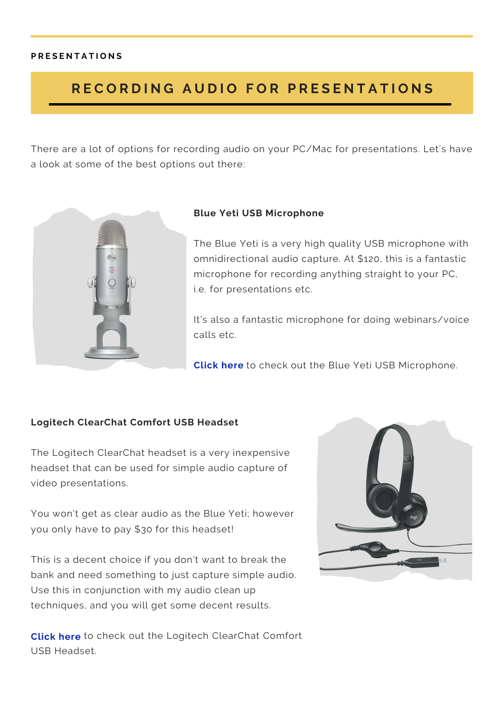# RECORDING AUDIO FOR PRESENTATIONS

There are a lot of options for recording audio on your PC/Mac for presentations. Let's have a look at some of the best options out there:



## **Blue Yeti USB Microphone**

The Blue Yeti is a very high quality USB microphone with omnidirectional audio capture. At \$120, this is a fantastic microphone for recording anything straight to your PC, i.e. for presentations etc.

It's also a fantastic microphone for doing webinars/voice calls etc.

**[Click](https://www.amazon.com/Blue-Microphones-Yeti-USB-Microphone/dp/B002VA464S/ref=sr_1_2?ie=UTF8&qid=1381924519&sr=8-2&keywords=blue+yeti) here** to check out the Blue Yeti USB Microphone.

## **Logitech ClearChat Comfort USB Headset**

The Logitech ClearChat headset is a very inexpensive headset that can be used for simple audio capture of video presentations.

You won't get as clear audio as the Blue Yeti; however you only have to pay \$30 for this headset!

This is a decent choice if you don't want to break the bank and need something to just capture simple audio. Use this in conjunction with my audio clean up techniques, and you will get some decent results.

**Click here** to check out the Logitech [ClearChat](https://www.amazon.com/Logitech-ClearChat-Comfort-Headset-Black/dp/B000UXZQ42/ref=pd_cp_cps_0) Comfort USB Headset.